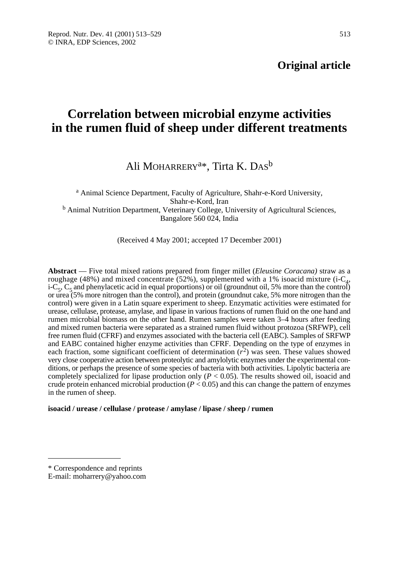# **Correlation between microbial enzyme activities in the rumen fluid of sheep under different treatments**

Ali MOHARRERY<sup>a\*</sup>, Tirta K. DAS<sup>b</sup>

<sup>a</sup> Animal Science Department, Faculty of Agriculture, Shahr-e-Kord University, Shahr-e-Kord, Iran <sup>b</sup> Animal Nutrition Department, Veterinary College, University of Agricultural Sciences, Bangalore 560 024, India

(Received 4 May 2001; accepted 17 December 2001)

**Abstract** — Five total mixed rations prepared from finger millet (*Eleusine Coracana)* straw as a roughage (48%) and mixed concentrate (52%), supplemented with a 1% isoacid mixture (i- $C<sub>4</sub>$ ,  $i-C<sub>5</sub>, C<sub>5</sub>$  and phenylacetic acid in equal proportions) or oil (groundnut oil, 5% more than the control) or urea (5% more nitrogen than the control), and protein (groundnut cake, 5% more nitrogen than the control) were given in a Latin square experiment to sheep. Enzymatic activities were estimated for urease, cellulase, protease, amylase, and lipase in various fractions of rumen fluid on the one hand and rumen microbial biomass on the other hand. Rumen samples were taken 3–4 hours after feeding and mixed rumen bacteria were separated as a strained rumen fluid without protozoa (SRFWP), cell free rumen fluid (CFRF) and enzymes associated with the bacteria cell (EABC). Samples of SRFWP and EABC contained higher enzyme activities than CFRF. Depending on the type of enzymes in each fraction, some significant coefficient of determination  $(r^2)$  was seen. These values showed very close cooperative action between proteolytic and amylolytic enzymes under the experimental conditions, or perhaps the presence of some species of bacteria with both activities. Lipolytic bacteria are completely specialized for lipase production only  $(P < 0.05)$ . The results showed oil, isoacid and crude protein enhanced microbial production  $(P < 0.05)$  and this can change the pattern of enzymes in the rumen of sheep.

**isoacid / urease / cellulase / protease / amylase / lipase / sheep / rumen**

<sup>\*</sup> Correspondence and reprints

E-mail: moharrery@yahoo.com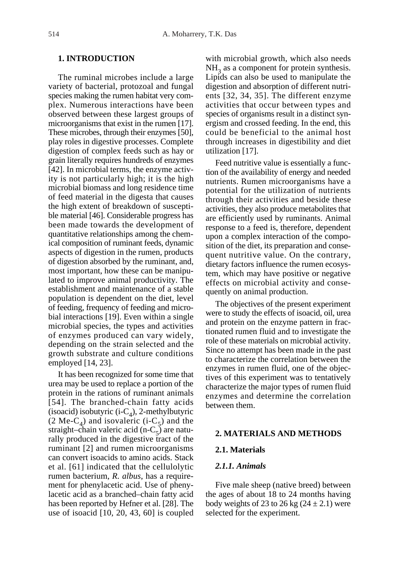# **1. INTRODUCTION**

The ruminal microbes include a large variety of bacterial, protozoal and fungal species making the rumen habitat very complex. Numerous interactions have been observed between these largest groups of microorganisms that exist in the rumen [17]. These microbes, through their enzymes [50], play roles in digestive processes. Complete digestion of complex feeds such as hay or grain literally requires hundreds of enzymes [42]. In microbial terms, the enzyme activity is not particularly high; it is the high microbial biomass and long residence time of feed material in the digesta that causes the high extent of breakdown of susceptible material [46]. Considerable progress has been made towards the development of quantitative relationships among the chemical composition of ruminant feeds, dynamic aspects of digestion in the rumen, products of digestion absorbed by the ruminant, and, most important, how these can be manipulated to improve animal productivity. The establishment and maintenance of a stable population is dependent on the diet, level of feeding, frequency of feeding and microbial interactions [19]. Even within a single microbial species, the types and activities of enzymes produced can vary widely, depending on the strain selected and the growth substrate and culture conditions employed [14, 23].

It has been recognized for some time that urea may be used to replace a portion of the protein in the rations of ruminant animals [54]. The branched-chain fatty acids (isoacid) isobutyric (i- $C_4$ ), 2-methylbutyric (2 Me-C<sub>4</sub>) and isovaleric (i-C<sub>5</sub>) and the straight–chain valeric acid (n- $C_5$ ) are naturally produced in the digestive tract of the ruminant [2] and rumen microorganisms can convert isoacids to amino acids. Stack et al. [61] indicated that the cellulolytic rumen bacterium, *R. albus*, has a requirement for phenylacetic acid. Use of phenylacetic acid as a branched–chain fatty acid has been reported by Hefner et al. [28]. The use of isoacid [10, 20, 43, 60] is coupled with microbial growth, which also needs  $NH<sub>3</sub>$  as a component for protein synthesis. Lipids can also be used to manipulate the digestion and absorption of different nutrients [32, 34, 35]. The different enzyme activities that occur between types and species of organisms result in a distinct synergism and crossed feeding. In the end, this could be beneficial to the animal host through increases in digestibility and diet utilization [17].

Feed nutritive value is essentially a function of the availability of energy and needed nutrients. Rumen microorganisms have a potential for the utilization of nutrients through their activities and beside these activities, they also produce metabolites that are efficiently used by ruminants. Animal response to a feed is, therefore, dependent upon a complex interaction of the composition of the diet, its preparation and consequent nutritive value. On the contrary, dietary factors influence the rumen ecosystem, which may have positive or negative effects on microbial activity and consequently on animal production.

The objectives of the present experiment were to study the effects of isoacid, oil, urea and protein on the enzyme pattern in fractionated rumen fluid and to investigate the role of these materials on microbial activity. Since no attempt has been made in the past to characterize the correlation between the enzymes in rumen fluid, one of the objectives of this experiment was to tentatively characterize the major types of rumen fluid enzymes and determine the correlation between them.

## **2. MATERIALS AND METHODS**

#### **2.1. Materials**

## *2.1.1. Animals*

Five male sheep (native breed) between the ages of about 18 to 24 months having body weights of 23 to 26 kg  $(24 \pm 2.1)$  were selected for the experiment.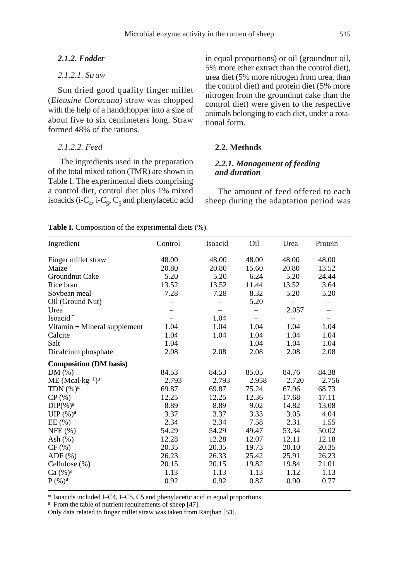# *2.1.2. Fodder*

# *2.1.2.1. Straw*

Sun dried good quality finger millet (*Eleusine Coracana)* straw was chopped with the help of a handchopper into a size of about five to six centimeters long. Straw formed 48% of the rations.

# *2.1.2.2. Feed*

The ingredients used in the preparation of the total mixed ration (TMR) are shown in Table I. The experimental diets comprising a control diet, control diet plus 1% mixed isoacids (i-C<sub>4</sub>, i-C<sub>5</sub>, C<sub>5</sub> and phenylacetic acid in equal proportions) or oil (groundnut oil, 5% more ether extract than the control diet), urea diet (5% more nitrogen from urea, than the control diet) and protein diet (5% more nitrogen from the groundnut cake than the control diet) were given to the respective animals belonging to each diet, under a rotational form.

# **2.2. Methods**

# *2.2.1. Management of feeding and duration*

The amount of feed offered to each sheep during the adaptation period was

| Ingredient                    | Control | Isoacid           | Oil   | Urea  | Protein                  |
|-------------------------------|---------|-------------------|-------|-------|--------------------------|
| Finger millet straw           | 48.00   | 48.00             | 48.00 | 48.00 | 48.00                    |
| Maize                         | 20.80   | 20.80             | 15.60 | 20.80 | 13.52                    |
| Groundnut Cake                | 5.20    | 5.20              | 6.24  | 5.20  | 24.44                    |
| Rice bran                     | 13.52   | 13.52             | 11.44 | 13.52 | 3.64                     |
| Soybean meal                  | 7.28    | 7.28              | 8.32  | 5.20  | 5.20                     |
| Oil (Ground Nut)              |         |                   | 5.20  |       |                          |
| Urea                          |         | $\qquad \qquad -$ | —     | 2.057 | $\overline{\phantom{0}}$ |
| Isoacid*                      |         | 1.04              |       |       |                          |
| Vitamin + Mineral supplement  | 1.04    | 1.04              | 1.04  | 1.04  | 1.04                     |
| Calcite                       | 1.04    | 1.04              | 1.04  | 1.04  | 1.04                     |
| Salt                          | 1.04    |                   | 1.04  | 1.04  | 1.04                     |
| Dicalcium phosphate           | 2.08    | 2.08              | 2.08  | 2.08  | 2.08                     |
| <b>Composition (DM basis)</b> |         |                   |       |       |                          |
| $DM(\%)$                      | 84.53   | 84.53             | 85.05 | 84.76 | 84.38                    |
| $ME (Mcal \cdot kg^{-1})^a$   | 2.793   | 2.793             | 2.958 | 2.720 | 2.756                    |
| TDN $(\% )^a$                 | 69.87   | 69.87             | 75.24 | 67.96 | 68.73                    |
| CP(%)                         | 12.25   | 12.25             | 12.36 | 17.68 | 17.11                    |
| $DIP(\%)^a$                   | 8.89    | 8.89              | 9.02  | 14.82 | 13.08                    |
| UIP $(\%)^a$                  | 3.37    | 3.37              | 3.33  | 3.05  | 4.04                     |
| EE(%)                         | 2.34    | 2.34              | 7.58  | 2.31  | 1.55                     |
| NFE(%)                        | 54.29   | 54.29             | 49.47 | 53.34 | 50.02                    |
| Ash $(\%)$                    | 12.28   | 12.28             | 12.07 | 12.11 | 12.18                    |
| CF(%)                         | 20.35   | 20.35             | 19.73 | 20.10 | 20.35                    |
| $ADF$ $(\%)$                  | 26.23   | 26.33             | 25.42 | 25.91 | 26.23                    |
| Cellulose (%)                 | 20.15   | 20.15             | 19.82 | 19.84 | 21.01                    |
| $Ca (%)^a$                    | 1.13    | 1.13              | 1.13  | 1.12  | 1.13                     |
| $P$ (%) <sup>a</sup>          | 0.92    | 0.92              | 0.87  | 0.90  | 0.77                     |
|                               |         |                   |       |       |                          |

Table I. Composition of the experimental diets (%).

\* Isoacids included I–C4, I–C5, C5 and phenylacetic acid in equal proportions.

<sup>a</sup> From the table of nutrient requirements of sheep [47].

Only data related to finger millet straw was taken from Ranjhan [53].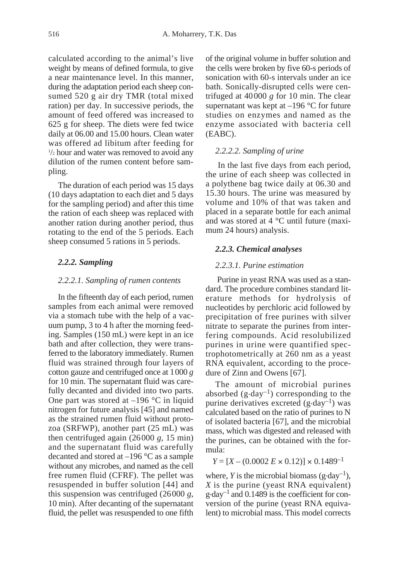calculated according to the animal's live weight by means of defined formula, to give a near maintenance level. In this manner, during the adaptation period each sheep consumed 520 g air dry TMR (total mixed ration) per day. In successive periods, the amount of feed offered was increased to 625 g for sheep. The diets were fed twice daily at 06.00 and 15.00 hours. Clean water was offered ad libitum after feeding for <sup>1</sup>/<sub>2</sub> hour and water was removed to avoid any dilution of the rumen content before sampling.

The duration of each period was 15 days (10 days adaptation to each diet and 5 days for the sampling period) and after this time the ration of each sheep was replaced with another ration during another period, thus rotating to the end of the 5 periods. Each sheep consumed 5 rations in 5 periods.

## *2.2.2. Sampling*

#### *2.2.2.1. Sampling of rumen contents*

In the fifteenth day of each period, rumen samples from each animal were removed via a stomach tube with the help of a vacuum pump, 3 to 4 h after the morning feeding. Samples (150 mL) were kept in an ice bath and after collection, they were transferred to the laboratory immediately. Rumen fluid was strained through four layers of cotton gauze and centrifuged once at 1000 *g* for 10 min. The supernatant fluid was carefully decanted and divided into two parts. One part was stored at  $-196$  °C in liquid nitrogen for future analysis [45] and named as the strained rumen fluid without protozoa (SRFWP), another part (25 mL) was then centrifuged again  $(26000 g, 15 min)$ and the supernatant fluid was carefully decanted and stored at –196 °C as a sample without any microbes, and named as the cell free rumen fluid (CFRF). The pellet was resuspended in buffer solution [44] and this suspension was centrifuged (26000 *g*, 10 min). After decanting of the supernatant fluid, the pellet was resuspended to one fifth

of the original volume in buffer solution and the cells were broken by five 60-s periods of sonication with 60-s intervals under an ice bath. Sonically-disrupted cells were centrifuged at 40000 *g* for 10 min. The clear supernatant was kept at  $-196$  °C for future studies on enzymes and named as the enzyme associated with bacteria cell (EABC).

#### *2.2.2.2. Sampling of urine*

In the last five days from each period, the urine of each sheep was collected in a polythene bag twice daily at 06.30 and 15.30 hours. The urine was measured by volume and 10% of that was taken and placed in a separate bottle for each animal and was stored at 4 °C until future (maximum 24 hours) analysis.

## *2.2.3. Chemical analyses*

#### *2.2.3.1. Purine estimation*

Purine in yeast RNA was used as a standard. The procedure combines standard literature methods for hydrolysis of nucleotides by perchloric acid followed by precipitation of free purines with silver nitrate to separate the purines from interfering compounds. Acid resolubilized purines in urine were quantified spectrophotometrically at 260 nm as a yeast RNA equivalent, according to the procedure of Zinn and Owens [67].

The amount of microbial purines absorbed  $(g \cdot day^{-1})$  corresponding to the purine derivatives excreted  $(g \cdot \text{day}^{-1})$  was calculated based on the ratio of purines to N of isolated bacteria [67], and the microbial mass, which was digested and released with the purines, can be obtained with the formula:

 $Y = [X - (0.0002 E \times 0.12)] \times 0.1489^{-1}$ 

where, *Y* is the microbial biomass  $(g \cdot day^{-1})$ , *X* is the purine (yeast RNA equivalent)  $g \cdot day^{-1}$  and 0.1489 is the coefficient for conversion of the purine (yeast RNA equivalent) to microbial mass. This model corrects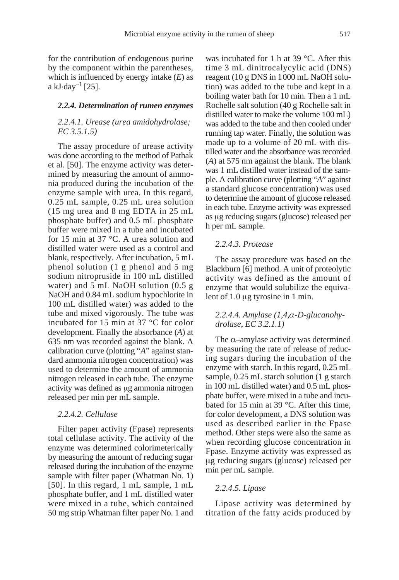for the contribution of endogenous purine by the component within the parentheses, which is influenced by energy intake (*E*) as a kJ $\cdot$ day<sup>-1</sup> [25].

#### *2.2.4. Determination of rumen enzymes*

## *2.2.4.1. Urease (urea amidohydrolase; EC 3.5.1.5)*

The assay procedure of urease activity was done according to the method of Pathak et al. [50]. The enzyme activity was determined by measuring the amount of ammonia produced during the incubation of the enzyme sample with urea. In this regard, 0.25 mL sample, 0.25 mL urea solution (15 mg urea and 8 mg EDTA in 25 mL phosphate buffer) and 0.5 mL phosphate buffer were mixed in a tube and incubated for 15 min at 37 °C. A urea solution and distilled water were used as a control and blank, respectively. After incubation, 5 mL phenol solution (1 g phenol and 5 mg sodium nitropruside in 100 mL distilled water) and 5 mL NaOH solution (0.5 g NaOH and 0.84 mL sodium hypochlorite in 100 mL distilled water) was added to the tube and mixed vigorously. The tube was incubated for 15 min at 37 °C for color development. Finally the absorbance (*A*) at 635 nm was recorded against the blank. A calibration curve (plotting "*A*" against standard ammonia nitrogen concentration) was used to determine the amount of ammonia nitrogen released in each tube. The enzyme activity was defined as  $\mu$ g ammonia nitrogen released per min per mL sample.

#### *2.2.4.2. Cellulase*

Filter paper activity (Fpase) represents total cellulase activity. The activity of the enzyme was determined colorimeterically by measuring the amount of reducing sugar released during the incubation of the enzyme sample with filter paper (Whatman No. 1) [50]. In this regard, 1 mL sample, 1 mL phosphate buffer, and 1 mL distilled water were mixed in a tube, which contained 50 mg strip Whatman filter paper No. 1 and was incubated for 1 h at 39 °C. After this time 3 mL dinitrocalycylic acid (DNS) reagent (10 g DNS in 1000 mL NaOH solution) was added to the tube and kept in a boiling water bath for 10 min. Then a 1 mL Rochelle salt solution (40 g Rochelle salt in distilled water to make the volume 100 mL) was added to the tube and then cooled under running tap water. Finally, the solution was made up to a volume of 20 mL with distilled water and the absorbance was recorded (*A*) at 575 nm against the blank. The blank was 1 mL distilled water instead of the sample. A calibration curve (plotting "*A*" against a standard glucose concentration) was used to determine the amount of glucose released in each tube. Enzyme activity was expressed as µg reducing sugars (glucose) released per h per mL sample.

#### *2.2.4.3. Protease*

The assay procedure was based on the Blackburn [6] method. A unit of proteolytic activity was defined as the amount of enzyme that would solubilize the equivalent of  $1.0 \mu$ g tyrosine in 1 min.

## *2.2.4.4. Amylase (1,4,*α*-D-glucanohydrolase, EC 3.2.1.1)*

The  $\alpha$ –amylase activity was determined by measuring the rate of release of reducing sugars during the incubation of the enzyme with starch. In this regard, 0.25 mL sample, 0.25 mL starch solution (1 g starch in 100 mL distilled water) and 0.5 mL phosphate buffer, were mixed in a tube and incubated for 15 min at 39 °C. After this time, for color development, a DNS solution was used as described earlier in the Fpase method. Other steps were also the same as when recording glucose concentration in Fpase. Enzyme activity was expressed as mg reducing sugars (glucose) released per min per mL sample.

#### *2.2.4.5. Lipase*

Lipase activity was determined by titration of the fatty acids produced by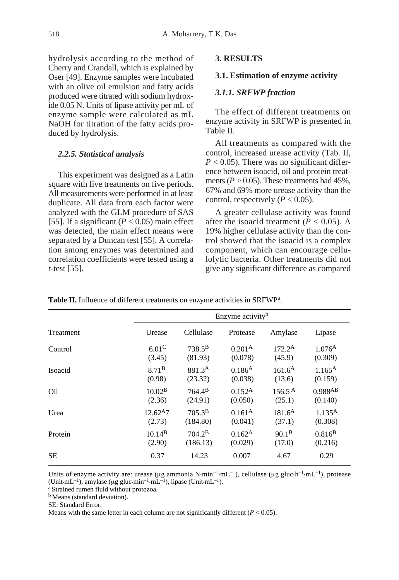hydrolysis according to the method of Cherry and Crandall, which is explained by Oser [49]. Enzyme samples were incubated with an olive oil emulsion and fatty acids produced were titrated with sodium hydroxide 0.05 N. Units of lipase activity per mL of enzyme sample were calculated as mL NaOH for titration of the fatty acids produced by hydrolysis.

## *2.2.5. Statistical analysis*

This experiment was designed as a Latin square with five treatments on five periods. All measurements were performed in at least duplicate. All data from each factor were analyzed with the GLM procedure of SAS [55]. If a significant  $(P < 0.05)$  main effect was detected, the main effect means were separated by a Duncan test [55]. A correlation among enzymes was determined and correlation coefficients were tested using a *t*-test [55].

# **3. RESULTS**

## **3.1. Estimation of enzyme activity**

# *3.1.1. SRFWP fraction*

The effect of different treatments on enzyme activity in SRFWP is presented in Table II.

All treatments as compared with the control, increased urease activity (Tab. II,  $P < 0.05$ ). There was no significant difference between isoacid, oil and protein treatments ( $P > 0.05$ ). These treatments had 45%, 67% and 69% more urease activity than the control, respectively  $(P < 0.05)$ .

A greater cellulase activity was found after the isoacid treatment  $(P < 0.05)$ . A 19% higher cellulase activity than the control showed that the isoacid is a complex component, which can encourage cellulolytic bacteria. Other treatments did not give any significant difference as compared

|                  |                    | Enzyme activity <sup>b</sup> |                    |                    |                 |  |
|------------------|--------------------|------------------------------|--------------------|--------------------|-----------------|--|
| <b>Treatment</b> | Urease             | Cellulase                    | Protease           | Amylase            | Lipase          |  |
| Control          | $6.01^{\circ}$     | $738.5^{\rm B}$              | 0.201 <sup>A</sup> | $172.2^{\rm A}$    | $1.076^{A}$     |  |
|                  | (3.45)             | (81.93)                      | (0.078)            | (45.9)             | (0.309)         |  |
| Isoacid          | 8.71 <sup>B</sup>  | 881.3 <sup>A</sup>           | $0.186^{A}$        | $161.6^{\rm A}$    | $1.165^{\rm A}$ |  |
|                  | (0.98)             | (23.32)                      | (0.038)            | (13.6)             | (0.159)         |  |
| Oil              | 10.02 <sup>B</sup> | $764.4^{\rm B}$              | $0.152^{A}$        | $156.5^{\text{A}}$ | 0.988AB         |  |
|                  | (2.36)             | (24.91)                      | (0.050)            | (25.1)             | (0.140)         |  |
| Urea             | $12.62^{A}7$       | $705.3^{\rm B}$              | 0.161 <sup>A</sup> | $181.6^{\rm A}$    | $1.135^{\rm A}$ |  |
|                  | (2.73)             | (184.80)                     | (0.041)            | (37.1)             | (0.308)         |  |
| Protein          | $10.14^{B}$        | $704.2^{\rm B}$              | $0.162^{A}$        | $90.1^{B}$         | $0.816^{B}$     |  |
|                  | (2.90)             | (186.13)                     | (0.029)            | (17.0)             | (0.216)         |  |
| <b>SE</b>        | 0.37               | 14.23                        | 0.007              | 4.67               | 0.29            |  |

**Table II.** Influence of different treatments on enzyme activities in SRFWPa.

Units of enzyme activity are: urease (µg ammonia N·min<sup>-1</sup>·mL<sup>-1</sup>), cellulase (µg gluc·h<sup>-1</sup>·mL<sup>-1</sup>), protease (Unit-mL<sup>-1</sup>), amylase (µg gluc-min<sup>-1</sup>-mL<sup>-1</sup>), lipase (Unit-mL<sup>-1</sup>). <br><sup>a</sup> Strained rumen fluid without protozoa.

**b** Means (standard deviation).

SE: Standard Error.

Means with the same letter in each column are not significantly different  $(P < 0.05)$ .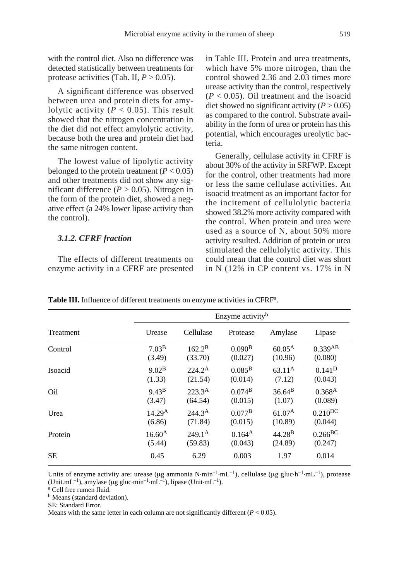with the control diet. Also no difference was detected statistically between treatments for protease activities (Tab. II,  $P > 0.05$ ).

A significant difference was observed between urea and protein diets for amylolytic activity  $(P < 0.05)$ . This result showed that the nitrogen concentration in the diet did not effect amylolytic activity, because both the urea and protein diet had the same nitrogen content.

The lowest value of lipolytic activity belonged to the protein treatment  $(P < 0.05)$ and other treatments did not show any significant difference  $(P > 0.05)$ . Nitrogen in the form of the protein diet, showed a negative effect (a 24% lower lipase activity than the control).

#### *3.1.2. CFRF fraction*

The effects of different treatments on enzyme activity in a CFRF are presented in Table III. Protein and urea treatments, which have 5% more nitrogen, than the control showed 2.36 and 2.03 times more urease activity than the control, respectively  $(P < 0.05)$ . Oil treatment and the isoacid diet showed no significant activity  $(P > 0.05)$ as compared to the control. Substrate availability in the form of urea or protein has this potential, which encourages ureolytic bacteria.

Generally, cellulase activity in CFRF is about 30% of the activity in SRFWP. Except for the control, other treatments had more or less the same cellulase activities. An isoacid treatment as an important factor for the incitement of cellulolytic bacteria showed 38.2% more activity compared with the control. When protein and urea were used as a source of N, about 50% more activity resulted. Addition of protein or urea stimulated the cellulolytic activity. This could mean that the control diet was short in N (12% in CP content vs. 17% in N

|           |                    | Enzyme activity <sup>b</sup> |                    |                    |                       |  |
|-----------|--------------------|------------------------------|--------------------|--------------------|-----------------------|--|
| Treatment | Urease             | Cellulase                    | Protease           | Amylase            | Lipase                |  |
| Control   | 7.03 <sup>B</sup>  | $162.2^{\rm B}$              | 0.090 <sup>B</sup> | $60.05^{\rm A}$    | 0.339AB               |  |
|           | (3.49)             | (33.70)                      | (0.027)            | (10.96)            | (0.080)               |  |
| Isoacid   | 9.02 <sup>B</sup>  | $224.2^{\rm A}$              | $0.085^{\rm B}$    | $63.11^{\rm A}$    | $0.141^{D}$           |  |
|           | (1.33)             | (21.54)                      | (0.014)            | (7.12)             | (0.043)               |  |
| Oil       | 9.43 <sup>B</sup>  | $223.3^{\rm A}$              | $0.074^{B}$        | $36.64^{B}$        | 0.368 <sup>A</sup>    |  |
|           | (3.47)             | (64.54)                      | (0.015)            | (1.07)             | (0.089)               |  |
| Urea      | 14.29 <sup>A</sup> | 244.3 <sup>A</sup>           | $0.077^{\rm B}$    | 61.07 <sup>A</sup> | $0.210$ <sup>DC</sup> |  |
|           | (6.86)             | (71.84)                      | (0.015)            | (10.89)            | (0.044)               |  |
| Protein   | $16.60^{\rm A}$    | $249.1^{\rm A}$              | $0.164^{A}$        | 44.28 <sup>B</sup> | $0.266$ BC            |  |
|           | (5.44)             | (59.83)                      | (0.043)            | (24.89)            | (0.247)               |  |
| <b>SE</b> | 0.45               | 6.29                         | 0.003              | 1.97               | 0.014                 |  |

**Table III.** Influence of different treatments on enzyme activities in CFRF<sup>a</sup>.

Units of enzyme activity are: urease (µg ammonia N·min<sup>-1</sup>·mL<sup>-1</sup>), cellulase (µg gluc·h<sup>-1</sup>·mL<sup>-1</sup>), protease (Unit.mL<sup>-1</sup>), amylase ( $\mu$ g gluc-min<sup>-1.</sup>mL<sup>-1</sup>), lipase (Unit-mL<sup>-1</sup>).<br><sup>a</sup> Cell free rumen fluid.

**b** Means (standard deviation).

SE: Standard Error.

Means with the same letter in each column are not significantly different  $(P < 0.05)$ .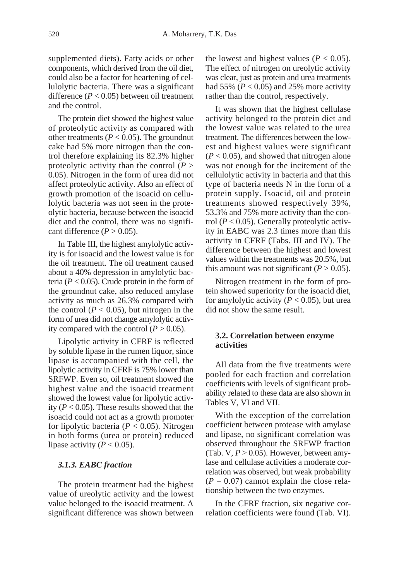supplemented diets). Fatty acids or other components, which derived from the oil diet, could also be a factor for heartening of cellulolytic bacteria. There was a significant difference (*P* < 0.05) between oil treatment and the control.

The protein diet showed the highest value of proteolytic activity as compared with other treatments ( $P < 0.05$ ). The groundnut cake had 5% more nitrogen than the control therefore explaining its 82.3% higher proteolytic activity than the control (*P* > 0.05). Nitrogen in the form of urea did not affect proteolytic activity. Also an effect of growth promotion of the isoacid on cellulolytic bacteria was not seen in the proteolytic bacteria, because between the isoacid diet and the control, there was no significant difference  $(P > 0.05)$ .

In Table III, the highest amylolytic activity is for isoacid and the lowest value is for the oil treatment. The oil treatment caused about a 40% depression in amylolytic bacteria ( $P < 0.05$ ). Crude protein in the form of the groundnut cake, also reduced amylase activity as much as 26.3% compared with the control  $(P < 0.05)$ , but nitrogen in the form of urea did not change amylolytic activity compared with the control  $(P > 0.05)$ .

Lipolytic activity in CFRF is reflected by soluble lipase in the rumen liquor, since lipase is accompanied with the cell, the lipolytic activity in CFRF is 75% lower than SRFWP. Even so, oil treatment showed the highest value and the isoacid treatment showed the lowest value for lipolytic activity  $(P < 0.05)$ . These results showed that the isoacid could not act as a growth promoter for lipolytic bacteria ( $P < 0.05$ ). Nitrogen in both forms (urea or protein) reduced lipase activity ( $P < 0.05$ ).

## *3.1.3. EABC fraction*

The protein treatment had the highest value of ureolytic activity and the lowest value belonged to the isoacid treatment. A significant difference was shown between the lowest and highest values ( $P < 0.05$ ). The effect of nitrogen on ureolytic activity was clear, just as protein and urea treatments had 55%  $(P < 0.05)$  and 25% more activity rather than the control, respectively.

It was shown that the highest cellulase activity belonged to the protein diet and the lowest value was related to the urea treatment. The differences between the lowest and highest values were significant  $(P < 0.05)$ , and showed that nitrogen alone was not enough for the incitement of the cellulolytic activity in bacteria and that this type of bacteria needs N in the form of a protein supply. Isoacid, oil and protein treatments showed respectively 39%, 53.3% and 75% more activity than the control  $(P < 0.05)$ . Generally proteolytic activity in EABC was 2.3 times more than this activity in CFRF (Tabs. III and IV). The difference between the highest and lowest values within the treatments was 20.5%, but this amount was not significant  $(P > 0.05)$ .

Nitrogen treatment in the form of protein showed superiority for the isoacid diet, for amylolytic activity  $(P < 0.05)$ , but urea did not show the same result.

## **3.2. Correlation between enzyme activities**

All data from the five treatments were pooled for each fraction and correlation coefficients with levels of significant probability related to these data are also shown in Tables V, VI and VII.

With the exception of the correlation coefficient between protease with amylase and lipase, no significant correlation was observed throughout the SRFWP fraction (Tab.  $V, P > 0.05$ ). However, between amylase and cellulase activities a moderate correlation was observed, but weak probability  $(P = 0.07)$  cannot explain the close relationship between the two enzymes.

In the CFRF fraction, six negative correlation coefficients were found (Tab. VI).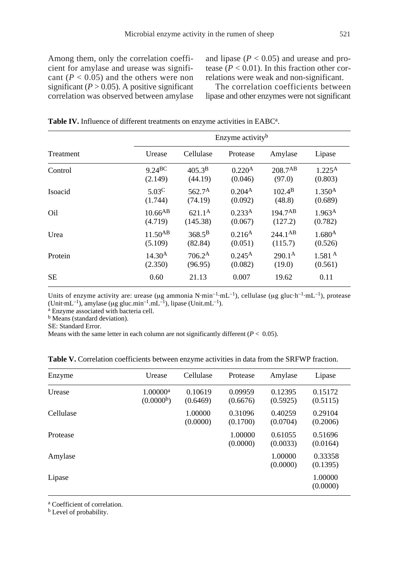Among them, only the correlation coefficient for amylase and urease was significant  $(P < 0.05)$  and the others were non significant  $(P > 0.05)$ . A positive significant correlation was observed between amylase and lipase  $(P < 0.05)$  and urease and protease ( $P < 0.01$ ). In this fraction other correlations were weak and non-significant.

The correlation coefficients between lipase and other enzymes were not significant

| <b>Table IV.</b> Influence of different treatments on enzyme activities in EABC <sup>a</sup> . |
|------------------------------------------------------------------------------------------------|
|------------------------------------------------------------------------------------------------|

|           |                    | Enzyme activity <sup>b</sup> |                    |                 |                    |  |
|-----------|--------------------|------------------------------|--------------------|-----------------|--------------------|--|
| Treatment | Urease             | Cellulase                    | Protease           | Amylase         | Lipase             |  |
| Control   | 9.24BC             | $405.3^{B}$                  | 0.220 <sup>A</sup> | $208.7^{AB}$    | $1.225^{\rm A}$    |  |
|           | (2.149)            | (44.19)                      | (0.046)            | (97.0)          | (0.803)            |  |
| Isoacid   | $5.03^{\circ}$     | 562.7 <sup>A</sup>           | 0.204 <sup>A</sup> | $102.4^{\rm B}$ | 1.350 <sup>A</sup> |  |
|           | (1.744)            | (74.19)                      | (0.092)            | (48.8)          | (0.689)            |  |
| Oil       | $10.66^{AB}$       | $621.1^{\rm A}$              | 0.233 <sup>A</sup> | $194.7^{AB}$    | 1.963 <sup>A</sup> |  |
|           | (4.719)            | (145.38)                     | (0.067)            | (127.2)         | (0.782)            |  |
| Urea      | $11.50^{AB}$       | $368.5^{\rm B}$              | $0.216^{A}$        | $244.1^{AB}$    | $1.680^{A}$        |  |
|           | (5.109)            | (82.84)                      | (0.051)            | (115.7)         | (0.526)            |  |
| Protein   | 14.30 <sup>A</sup> | $706.2^{\rm A}$              | $0.245^{\rm A}$    | $290.1^{\rm A}$ | 1.581 <sup>A</sup> |  |
|           | (2.350)            | (96.95)                      | (0.082)            | (19.0)          | (0.561)            |  |
| <b>SE</b> | 0.60               | 21.13                        | 0.007              | 19.62           | 0.11               |  |

Units of enzyme activity are: urease ( $\mu$ g ammonia N·min<sup>-1</sup>·mL<sup>-1</sup>), cellulase ( $\mu$ g gluc·h<sup>-1</sup>·mL<sup>-1</sup>), protease (Unit.mL<sup>-1</sup>), amylase ( $\mu$ g gluc.min<sup>-1</sup>.mL<sup>-1</sup>), lipase (Unit.mL<sup>-1</sup>). a Enzyme associated with bacteria cell.

**b** Means (standard deviation).

SE: Standard Error.

Means with the same letter in each column are not significantly different  $(P < 0.05)$ .

| Enzyme    | Urease                                         | Cellulase           | Protease            | Amylase             | Lipase              |
|-----------|------------------------------------------------|---------------------|---------------------|---------------------|---------------------|
| Urease    | 1.00000 <sup>a</sup><br>(0.0000 <sup>b</sup> ) | 0.10619<br>(0.6469) | 0.09959<br>(0.6676) | 0.12395<br>(0.5925) | 0.15172<br>(0.5115) |
| Cellulase |                                                | 1.00000<br>(0.0000) | 0.31096<br>(0.1700) | 0.40259<br>(0.0704) | 0.29104<br>(0.2006) |
| Protease  |                                                |                     | 1.00000<br>(0.0000) | 0.61055<br>(0.0033) | 0.51696<br>(0.0164) |
| Amylase   |                                                |                     |                     | 1.00000<br>(0.0000) | 0.33358<br>(0.1395) |
| Lipase    |                                                |                     |                     |                     | 1.00000<br>(0.0000) |

Table V. Correlation coefficients between enzyme activities in data from the SRFWP fraction.

<sup>a</sup> Coefficient of correlation.

**b** Level of probability.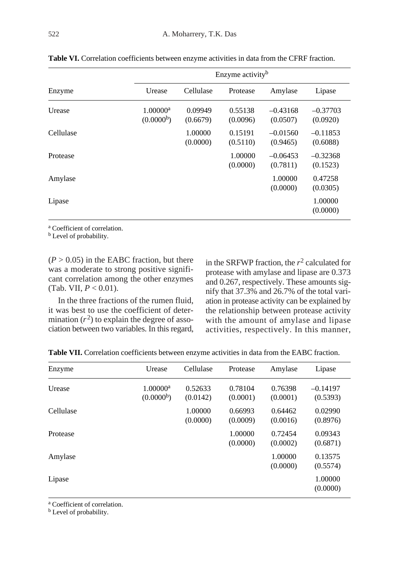|           |                                                |                     | Enzyme activity <sup>b</sup> |                        |                        |  |
|-----------|------------------------------------------------|---------------------|------------------------------|------------------------|------------------------|--|
| Enzyme    | Urease                                         | Cellulase           | Protease                     | Amylase                | Lipase                 |  |
| Urease    | 1.00000 <sup>a</sup><br>(0.0000 <sup>b</sup> ) | 0.09949<br>(0.6679) | 0.55138<br>(0.0096)          | $-0.43168$<br>(0.0507) | $-0.37703$<br>(0.0920) |  |
| Cellulase |                                                | 1.00000<br>(0.0000) | 0.15191<br>(0.5110)          | $-0.01560$<br>(0.9465) | $-0.11853$<br>(0.6088) |  |
| Protease  |                                                |                     | 1.00000<br>(0.0000)          | $-0.06453$<br>(0.7811) | $-0.32368$<br>(0.1523) |  |
| Amylase   |                                                |                     |                              | 1.00000<br>(0.0000)    | 0.47258<br>(0.0305)    |  |
| Lipase    |                                                |                     |                              |                        | 1.00000<br>(0.0000)    |  |

**Table VI.** Correlation coefficients between enzyme activities in data from the CFRF fraction.

<sup>a</sup> Coefficient of correlation.

**b** Level of probability.

 $(P > 0.05)$  in the EABC fraction, but there was a moderate to strong positive significant correlation among the other enzymes (Tab. VII,  $P < 0.01$ ).

In the three fractions of the rumen fluid, it was best to use the coefficient of determination  $(r^2)$  to explain the degree of association between two variables. In this regard, in the SRFWP fraction, the  $r^2$  calculated for protease with amylase and lipase are 0.373 and 0.267, respectively. These amounts signify that 37.3% and 26.7% of the total variation in protease activity can be explained by the relationship between protease activity with the amount of amylase and lipase activities, respectively. In this manner,

| Enzyme    | Urease                                           | Cellulase           | Protease            | Amylase             | Lipase                 |
|-----------|--------------------------------------------------|---------------------|---------------------|---------------------|------------------------|
| Urease    | $1.00000$ <sup>a</sup><br>(0.0000 <sup>b</sup> ) | 0.52633<br>(0.0142) | 0.78104<br>(0.0001) | 0.76398<br>(0.0001) | $-0.14197$<br>(0.5393) |
| Cellulase |                                                  | 1.00000<br>(0.0000) | 0.66993<br>(0.0009) | 0.64462<br>(0.0016) | 0.02990<br>(0.8976)    |
| Protease  |                                                  |                     | 1.00000<br>(0.0000) | 0.72454<br>(0.0002) | 0.09343<br>(0.6871)    |
| Amylase   |                                                  |                     |                     | 1.00000<br>(0.0000) | 0.13575<br>(0.5574)    |
| Lipase    |                                                  |                     |                     |                     | 1.00000<br>(0.0000)    |

**Table VII.** Correlation coefficients between enzyme activities in data from the EABC fraction.

<sup>a</sup> Coefficient of correlation.

**b** Level of probability.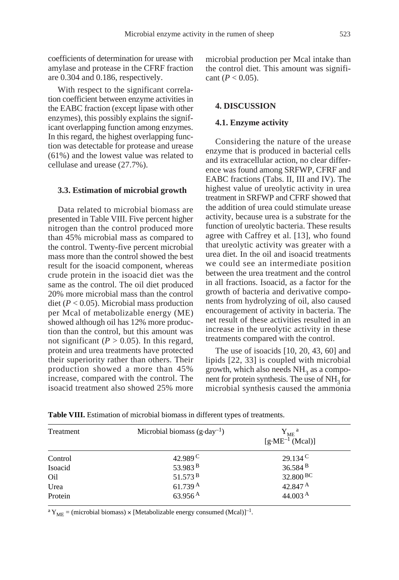coefficients of determination for urease with amylase and protease in the CFRF fraction are 0.304 and 0.186, respectively.

With respect to the significant correlation coefficient between enzyme activities in the EABC fraction (except lipase with other enzymes), this possibly explains the significant overlapping function among enzymes. In this regard, the highest overlapping function was detectable for protease and urease (61%) and the lowest value was related to cellulase and urease (27.7%).

#### **3.3. Estimation of microbial growth**

Data related to microbial biomass are presented in Table VIII. Five percent higher nitrogen than the control produced more than 45% microbial mass as compared to the control. Twenty-five percent microbial mass more than the control showed the best result for the isoacid component, whereas crude protein in the isoacid diet was the same as the control. The oil diet produced 20% more microbial mass than the control diet ( $P < 0.05$ ). Microbial mass production per Mcal of metabolizable energy (ME) showed although oil has 12% more production than the control, but this amount was not significant ( $P > 0.05$ ). In this regard, protein and urea treatments have protected their superiority rather than others. Their production showed a more than 45% increase, compared with the control. The isoacid treatment also showed 25% more

microbial production per Mcal intake than the control diet. This amount was significant  $(P < 0.05)$ .

## **4. DISCUSSION**

#### **4.1. Enzyme activity**

Considering the nature of the urease enzyme that is produced in bacterial cells and its extracellular action, no clear difference was found among SRFWP, CFRF and EABC fractions (Tabs. II, III and IV). The highest value of ureolytic activity in urea treatment in SRFWP and CFRF showed that the addition of urea could stimulate urease activity, because urea is a substrate for the function of ureolytic bacteria. These results agree with Caffrey et al. [13], who found that ureolytic activity was greater with a urea diet. In the oil and isoacid treatments we could see an intermediate position between the urea treatment and the control in all fractions. Isoacid, as a factor for the growth of bacteria and derivative components from hydrolyzing of oil, also caused encouragement of activity in bacteria. The net result of these activities resulted in an increase in the ureolytic activity in these treatments compared with the control.

The use of isoacids [10, 20, 43, 60] and lipids [22, 33] is coupled with microbial growth, which also needs  $NH<sub>3</sub>$  as a component for protein synthesis. The use of  $NH<sub>3</sub>$  for microbial synthesis caused the ammonia

| Treatment | Microbial biomass $(g \cdot day^{-1})$ | $Y_{ME}^{\alpha}$<br>$[g \cdot ME^{-1} (Mcal)]$ |
|-----------|----------------------------------------|-------------------------------------------------|
| Control   | 42.989 <sup>C</sup>                    | $29.134^{\circ}$                                |
| Isoacid   | 53.983 <sup>B</sup>                    | 36.584 B                                        |
| Oil       | 51.573 B                               | 32.800 BC                                       |
| Urea      | 61.739 A                               | 42.847 A                                        |
| Protein   | 63.956 $^{A}$                          | 44.003 A                                        |

**Table VIII.** Estimation of microbial biomass in different types of treatments.

<sup>a</sup> Y<sub>ME</sub> = (microbial biomass)  $\times$  [Metabolizable energy consumed (Mcal)]<sup>-1</sup>.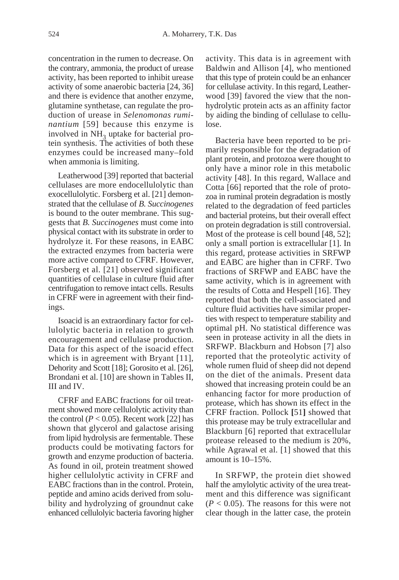concentration in the rumen to decrease. On the contrary, ammonia, the product of urease activity, has been reported to inhibit urease activity of some anaerobic bacteria [24, 36] and there is evidence that another enzyme, glutamine synthetase, can regulate the production of urease in *Selenomonas ruminantium* [59] because this enzyme is involved in NH<sub>2</sub> uptake for bacterial protein synthesis. The activities of both these enzymes could be increased many–fold when ammonia is limiting.

Leatherwood [39] reported that bacterial cellulases are more endocellulolytic than exocellulolytic. Forsberg et al. [21] demonstrated that the cellulase of *B. Succinogenes* is bound to the outer membrane. This suggests that *B. Succinogenes* must come into physical contact with its substrate in order to hydrolyze it. For these reasons, in EABC the extracted enzymes from bacteria were more active compared to CFRF. However, Forsberg et al. [21] observed significant quantities of cellulase in culture fluid after centrifugation to remove intact cells. Results in CFRF were in agreement with their findings.

Isoacid is an extraordinary factor for cellulolytic bacteria in relation to growth encouragement and cellulase production. Data for this aspect of the isoacid effect which is in agreement with Bryant [11], Dehority and Scott [18]; Gorosito et al. [26], Brondani et al. [10] are shown in Tables II, III and IV.

CFRF and EABC fractions for oil treatment showed more cellulolytic activity than the control ( $P < 0.05$ ). Recent work [22] has shown that glycerol and galactose arising from lipid hydrolysis are fermentable. These products could be motivating factors for growth and enzyme production of bacteria. As found in oil, protein treatment showed higher cellulolytic activity in CFRF and EABC fractions than in the control. Protein, peptide and amino acids derived from solubility and hydrolyzing of groundnut cake enhanced cellulolyic bacteria favoring higher activity. This data is in agreement with Baldwin and Allison [4], who mentioned that this type of protein could be an enhancer for cellulase activity. In this regard, Leatherwood [39] favored the view that the nonhydrolytic protein acts as an affinity factor by aiding the binding of cellulase to cellulose.

Bacteria have been reported to be primarily responsible for the degradation of plant protein, and protozoa were thought to only have a minor role in this metabolic activity [48]. In this regard, Wallace and Cotta [66] reported that the role of protozoa in ruminal protein degradation is mostly related to the degradation of feed particles and bacterial proteins, but their overall effect on protein degradation is still controversial. Most of the protease is cell bound [48, 52]; only a small portion is extracellular [1]. In this regard, protease activities in SRFWP and EABC are higher than in CFRF. Two fractions of SRFWP and EABC have the same activity, which is in agreement with the results of Cotta and Hespell [16]. They reported that both the cell-associated and culture fluid activities have similar properties with respect to temperature stability and optimal pH. No statistical difference was seen in protease activity in all the diets in SRFWP. Blackburn and Hobson [7] also reported that the proteolytic activity of whole rumen fluid of sheep did not depend on the diet of the animals. Present data showed that increasing protein could be an enhancing factor for more production of protease, which has shown its effect in the CFRF fraction. Pollock **[**51**]** showed that this protease may be truly extracellular and Blackburn [6] reported that extracellular protease released to the medium is 20%, while Agrawal et al. [1] showed that this amount is 10–15%.

In SRFWP, the protein diet showed half the amylolytic activity of the urea treatment and this difference was significant  $(P < 0.05)$ . The reasons for this were not clear though in the latter case, the protein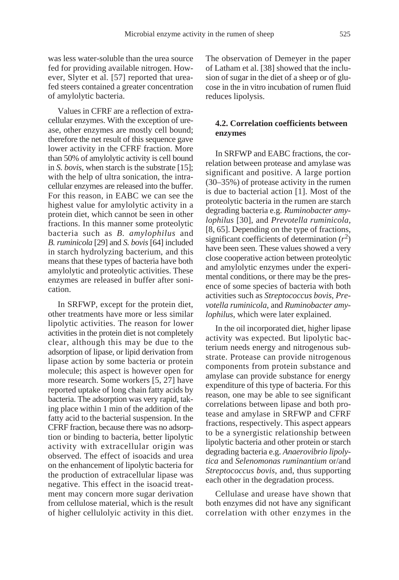was less water-soluble than the urea source fed for providing available nitrogen. However, Slyter et al. [57] reported that ureafed steers contained a greater concentration of amylolytic bacteria.

Values in CFRF are a reflection of extracellular enzymes. With the exception of urease, other enzymes are mostly cell bound; therefore the net result of this sequence gave lower activity in the CFRF fraction. More than 50% of amylolytic activity is cell bound in *S. bovis*, when starch is the substrate [15]; with the help of ultra sonication, the intracellular enzymes are released into the buffer. For this reason, in EABC we can see the highest value for amylolytic activity in a protein diet, which cannot be seen in other fractions. In this manner some proteolytic bacteria such as *B. amylophilus* and *B. ruminicola* [29] and *S. bovis* [64] included in starch hydrolyzing bacterium, and this means that these types of bacteria have both amylolytic and proteolytic activities. These enzymes are released in buffer after sonication.

In SRFWP, except for the protein diet, other treatments have more or less similar lipolytic activities. The reason for lower activities in the protein diet is not completely clear, although this may be due to the adsorption of lipase, or lipid derivation from lipase action by some bacteria or protein molecule; this aspect is however open for more research. Some workers [5, 27] have reported uptake of long chain fatty acids by bacteria. The adsorption was very rapid, taking place within 1 min of the addition of the fatty acid to the bacterial suspension. In the CFRF fraction, because there was no adsorption or binding to bacteria, better lipolytic activity with extracellular origin was observed. The effect of isoacids and urea on the enhancement of lipolytic bacteria for the production of extracellular lipase was negative. This effect in the isoacid treatment may concern more sugar derivation from cellulose material, which is the result of higher cellulolyic activity in this diet. The observation of Demeyer in the paper of Latham et al. [38] showed that the inclusion of sugar in the diet of a sheep or of glucose in the in vitro incubation of rumen fluid reduces lipolysis.

# **4.2. Correlation coefficients between enzymes**

In SRFWP and EABC fractions, the correlation between protease and amylase was significant and positive. A large portion (30–35%) of protease activity in the rumen is due to bacterial action [1]. Most of the proteolytic bacteria in the rumen are starch degrading bacteria e.g. *Ruminobacter amylophilus* [30], and *Prevotella ruminicola,* [8, 65]. Depending on the type of fractions, significant coefficients of determination  $(r^2)$ have been seen. These values showed a very close cooperative action between proteolytic and amylolytic enzymes under the experimental conditions, or there may be the presence of some species of bacteria with both activities such as *Streptococcus bovis*, *Prevotella ruminicola*, and *Ruminobacter amylophilus*, which were later explained.

In the oil incorporated diet, higher lipase activity was expected. But lipolytic bacterium needs energy and nitrogenous substrate. Protease can provide nitrogenous components from protein substance and amylase can provide substance for energy expenditure of this type of bacteria. For this reason, one may be able to see significant correlations between lipase and both protease and amylase in SRFWP and CFRF fractions, respectively. This aspect appears to be a synergistic relationship between lipolytic bacteria and other protein or starch degrading bacteria e.g. *Anaerovibrio lipolytica* and *Selenomonas ruminantium* or/and *Streptococcus bovis*, and, thus supporting each other in the degradation process.

Cellulase and urease have shown that both enzymes did not have any significant correlation with other enzymes in the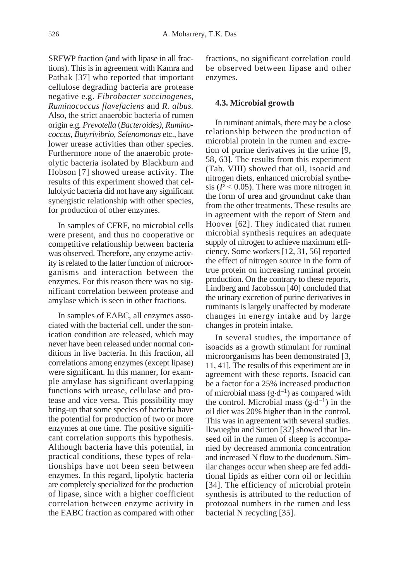SRFWP fraction (and with lipase in all fractions). This is in agreement with Kamra and Pathak [37] who reported that important cellulose degrading bacteria are protease negative e.g. *Fibrobacter succinogenes*, *Ruminococcus flavefaciens* and *R. albus.* Also, the strict anaerobic bacteria of rumen origin e.g. *Prevotella* (*Bacteroides)*, *Ruminococcus*, *Butyrivibrio*, *Selenomonas* etc., have lower urease activities than other species. Furthermore none of the anaerobic proteolytic bacteria isolated by Blackburn and Hobson [7] showed urease activity. The results of this experiment showed that cellulolytic bacteria did not have any significant synergistic relationship with other species, for production of other enzymes.

In samples of CFRF, no microbial cells were present, and thus no cooperative or competitive relationship between bacteria was observed. Therefore, any enzyme activity is related to the latter function of microorganisms and interaction between the enzymes. For this reason there was no significant correlation between protease and amylase which is seen in other fractions.

In samples of EABC, all enzymes associated with the bacterial cell, under the sonication condition are released, which may never have been released under normal conditions in live bacteria. In this fraction, all correlations among enzymes (except lipase) were significant. In this manner, for example amylase has significant overlapping functions with urease, cellulase and protease and vice versa. This possibility may bring-up that some species of bacteria have the potential for production of two or more enzymes at one time. The positive significant correlation supports this hypothesis. Although bacteria have this potential, in practical conditions, these types of relationships have not been seen between enzymes. In this regard, lipolytic bacteria are completely specialized for the production of lipase, since with a higher coefficient correlation between enzyme activity in the EABC fraction as compared with other

fractions, no significant correlation could be observed between lipase and other enzymes.

## **4.3. Microbial growth**

In ruminant animals, there may be a close relationship between the production of microbial protein in the rumen and excretion of purine derivatives in the urine [9, 58, 63]. The results from this experiment (Tab. VIII) showed that oil, isoacid and nitrogen diets, enhanced microbial synthesis ( $P < 0.05$ ). There was more nitrogen in the form of urea and groundnut cake than from the other treatments. These results are in agreement with the report of Stern and Hoover [62]. They indicated that rumen microbial synthesis requires an adequate supply of nitrogen to achieve maximum efficiency. Some workers [12, 31, 56] reported the effect of nitrogen source in the form of true protein on increasing ruminal protein production. On the contrary to these reports, Lindberg and Jacobsson [40] concluded that the urinary excretion of purine derivatives in ruminants is largely unaffected by moderate changes in energy intake and by large changes in protein intake.

In several studies, the importance of isoacids as a growth stimulant for ruminal microorganisms has been demonstrated [3, 11, 41]. The results of this experiment are in agreement with these reports. Isoacid can be a factor for a 25% increased production of microbial mass  $(g \cdot d^{-1})$  as compared with the control. Microbial mass  $(g \cdot d^{-1})$  in the oil diet was 20% higher than in the control. This was in agreement with several studies. Ikwuegbu and Sutton [32] showed that linseed oil in the rumen of sheep is accompanied by decreased ammonia concentration and increased N flow to the duodenum. Similar changes occur when sheep are fed additional lipids as either corn oil or lecithin [34]. The efficiency of microbial protein synthesis is attributed to the reduction of protozoal numbers in the rumen and less bacterial N recycling [35].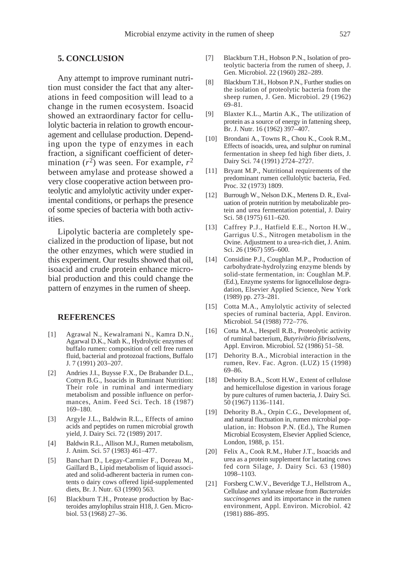## **5. CONCLUSION**

Any attempt to improve ruminant nutrition must consider the fact that any alterations in feed composition will lead to a change in the rumen ecosystem. Isoacid showed an extraordinary factor for cellulolytic bacteria in relation to growth encouragement and cellulase production. Depending upon the type of enzymes in each fraction, a significant coefficient of determination  $(r^2)$  was seen. For example,  $r^2$ between amylase and protease showed a very close cooperative action between proteolytic and amylolytic activity under experimental conditions, or perhaps the presence of some species of bacteria with both activities.

Lipolytic bacteria are completely specialized in the production of lipase, but not the other enzymes, which were studied in this experiment. Our results showed that oil, isoacid and crude protein enhance microbial production and this could change the pattern of enzymes in the rumen of sheep.

## **REFERENCES**

- [1] Agrawal N., Kewalramani N., Kamra D.N., Agarwal D.K., Nath K., Hydrolytic enzymes of buffalo rumen: composition of cell free rumen fluid, bacterial and protozoal fractions, Buffalo J. 7 (1991) 203–207.
- [2] Andries J.I., Buysse F.X., De Brabander D.L., Cottyn B.G., Isoacids in Ruminant Nutrition: Their role in ruminal and intermediary metabolism and possible influence on performances, Anim. Feed Sci. Tech. 18 (1987) 169–180.
- [3] Argyle J.L., Baldwin R.L., Effects of amino acids and peptides on rumen microbial growth yield, J. Dairy Sci. 72 (1989) 2017.
- [4] Baldwin R.L., Allison M.J., Rumen metabolism, J. Anim. Sci. 57 (1983) 461–477.
- [5] Banchart D., Legay-Carmier F., Doreau M., Gaillard B., Lipid metabolism of liquid associated and solid-adherent bacteria in rumen contents o dairy cows offered lipid-supplemented diets, Br. J. Nutr. 63 (1990) 563.
- [6] Blackburn T.H., Protease production by Bacteroides amylophilus strain H18, J. Gen. Microbiol. 53 (1968) 27–36.
- [7] Blackburn T.H., Hobson P.N., Isolation of proteolytic bacteria from the rumen of sheep, J. Gen. Microbiol. 22 (1960) 282–289.
- [8] Blackburn T.H., Hobson P.N., Further studies on the isolation of proteolytic bacteria from the sheep rumen, J. Gen. Microbiol. 29 (1962) 69–81.
- [9] Blaxter K.L., Martin A.K., The utilization of protein as a source of energy in fattening sheep, Br. J. Nutr. 16 (1962) 397–407.
- [10] Brondani A., Towns R., Chou K., Cook R.M., Effects of isoacids, urea, and sulphur on ruminal fermentation in sheep fed high fiber diets, J. Dairy Sci. 74 (1991) 2724–2727.
- [11] Bryant M.P., Nutritional requirements of the predominant rumen cellulolytic bacteria, Fed. Proc. 32 (1973) 1809.
- [12] Burrough W., Nelson D.K., Mertens D. R., Evaluation of protein nutrition by metabolizable protein and urea fermentation potential, J. Dairy Sci. 58 (1975) 611–620.
- [13] Caffrey P.J., Hatfield E.E., Norton H.W., Garrigus U.S., Nitrogen metabolism in the Ovine. Adjustment to a urea-rich diet, J. Anim. Sci. 26 (1967) 595–600.
- [14] Considine P.J., Coughlan M.P., Production of carbohydrate-hydrolyzing enzyme blends by solid-state fermentation, in: Coughlan M.P. (Ed.), Enzyme systems for lignocellulose degradation, Elsevier Applied Science, New York (1989) pp. 273–281.
- [15] Cotta M.A., Amylolytic activity of selected species of ruminal bacteria, Appl. Environ. Microbiol. 54 (1988) 772–776.
- [16] Cotta M.A., Hespell R.B., Proteolytic activity of ruminal bacterium, *Butyrivibrio fibrisolvens*, Appl. Environ. Microbiol. 52 (1986) 51–58.
- [17] Dehority B.A., Microbial interaction in the rumen, Rev. Fac. Agron. (LUZ) 15 (1998) 69–86.
- [18] Dehority B.A., Scott H.W., Extent of cellulose and hemicellulose digestion in various forage by pure cultures of rumen bacteria, J. Dairy Sci. 50 (1967) 1136–1141.
- [19] Dehority B.A., Orpin C.G., Development of, and natural fluctuation in, rumen microbial population, in: Hobson P.N. (Ed.), The Rumen Microbial Ecosystem, Elsevier Applied Science, London, 1988, p. 151.
- [20] Felix A., Cook R.M., Huber J.T., Isoacids and urea as a protein supplement for lactating cows fed corn Silage, J. Dairy Sci. 63 (1980) 1098–1103.
- [21] Forsberg C.W.V., Beveridge T.J., Hellstrom A., Cellulase and xylanase release from *Bacteroides succinogenes* and its importance in the rumen environment, Appl. Environ. Microbiol. 42 (1981) 886–895.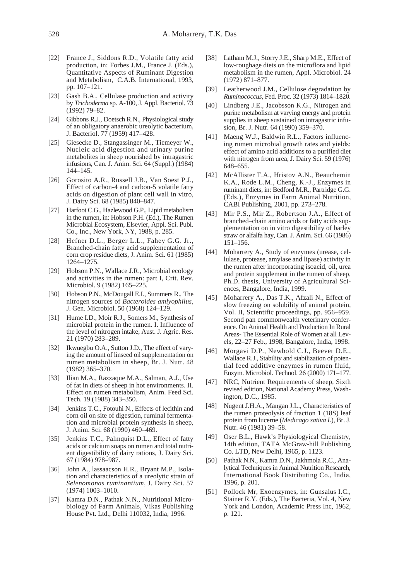- [22] France J., Siddons R.D., Volatile fatty acid production, in: Forbes J.M., France J. (Eds.), Quantitative Aspects of Ruminant Digestion and Metabolism, C.A.B. International, 1993, pp. 107–121.
- [23] Gash B.A., Cellulase production and activity by *Trichoderma* sp. A-100, J. Appl. Bacteriol*.* 73 (1992) 79–82.
- [24] Gibbons R.J., Doetsch R.N., Physiological study of an obligatory anaerobic ureolytic bacterium, J. Bacteriol. 77 (1959) 417–428.
- [25] Giesecke D., Stangassinger M., Tiemeyer W., Nucleic acid digestion and urinary purine metabolites in sheep nourished by intragastric infusions, Can. J. Anim. Sci. 64 (Suppl.) (1984) 144–145.
- [26] Gorosito A.R., Russell J.B., Van Soest P.J., Effect of carbon-4 and carbon-5 volatile fatty acids on digestion of plant cell wall in vitro, J. Dairy Sci. 68 (1985) 840–847.
- [27] Harfoot C.G., Hazlewood G.P., Lipid metabolism in the rumen, in: Hobson P.H. (Ed.), The Rumen Microbial Ecosystem, Elsevier, Appl. Sci. Publ. Co., Inc., New York, NY, 1988, p. 285.
- [28] Hefner D.L., Berger L.L., Fahey G.G. Jr., Branched-chain fatty acid supplementation of corn crop residue diets, J. Anim. Sci. 61 (1985) 1264–1275.
- [29] Hobson P.N., Wallace J.R., Microbial ecology and activities in the rumen: part I, Crit. Rev. Microbiol. 9 (1982) 165–225.
- [30] Hobson P.N., McDougall E.I., Summers R., The nitrogen sources of *Bacteroides amlyophilus*, J. Gen. Microbiol. 50 (1968) 124–129.
- [31] Hume I.D., Moir R.J., Somers M., Synthesis of microbial protein in the rumen. I. Influence of the level of nitrogen intake, Aust. J. Agric. Res. 21 (1970) 283–289.
- [32] Ikwuegbu O.A., Sutton J.D., The effect of varying the amount of linseed oil supplementation on rumen metabolism in sheep, Br. J. Nutr. 48 (1982) 365–370.
- [33] Ilian M.A., Razzaque M.A., Salman, A.J., Use of fat in diets of sheep in hot environments. II. Effect on rumen metabolism, Anim. Feed Sci. Tech. 19 (1988) 343–350.
- [34] Jenkins T.C., Fotouhi N., Effects of lecithin and corn oil on site of digestion, ruminal fermentation and microbial protein synthesis in sheep, J. Anim. Sci. 68 (1990) 460–469.
- [35] Jenkins T.C., Palmquist D.L., Effect of fatty acids or calcium soaps on rumen and total nutrient digestibility of dairy rations, J. Dairy Sci. 67 (1984) 978–987.
- [36] John A., lassaacson H.R., Bryant M.P., Isolation and characteristics of a ureolytic strain of *Selenomonas ruminantium,* J. Dairy Sci. 57 (1974) 1003–1010.
- [37] Kamra D.N., Pathak N.N., Nutritional Microbiology of Farm Animals, Vikas Publishing House Pvt. Ltd., Delhi 110032, India, 1996.
- [38] Latham M.J., Storry J.E., Sharp M.E., Effect of low-roughage diets on the microflora and lipid metabolism in the rumen, Appl. Microbiol. 24 (1972) 871–877.
- [39] Leatherwood J.M., Cellulose degradation by *Ruminococcus*, Fed. Proc. 32 (1973) 1814–1820.
- [40] Lindberg J.E., Jacobsson K.G., Nitrogen and purine metabolism at varying energy and protein supplies in sheep sustained on intragastric infusion, Br. J. Nutr. 64 (1990) 359–370.
- [41] Maeng W.J., Baldwin R.L., Factors influencing rumen microbial growth rates and yields: effect of amino acid additions to a purified diet with nitrogen from urea, J. Dairy Sci. 59 (1976) 648–655.
- [42] McAllister T.A., Hristov A.N., Beauchemin K.A., Rode L.M., Cheng, K.-J., Enzymes in ruminant diets, in: Bedford M.R., Partridge G.G. (Eds.), Enzymes in Farm Animal Nutrition, CABI Publishing, 2001, pp. 273–278.
- [43] Mir P.S., Mir Z., Robertson J.A., Effect of branched–chain amino acids or fatty acids supplementation on in vitro digestibility of barley straw or alfalfa hay, Can. J. Anim. Sci. 66 (1986) 151–156.
- [44] Moharrery A., Study of enzymes (urease, cellulase, protease, amylase and lipase) activity in the rumen after incorporating isoacid, oil, urea and protein supplement in the rumen of sheep, Ph.D. thesis, University of Agricultural Sciences, Bangalore, India, 1999.
- [45] Moharrery A., Das T.K., Afzali N., Effect of slow freezing on solubility of animal protein, Vol. II, Scientific proceedings, pp. 956–959. Second pan commonwealth veterinary conference. On Animal Health and Production In Rural Areas- The Essential Role of Women at all Levels, 22–27 Feb., 1998, Bangalore, India, 1998.
- [46] Morgavi D.P., Newbold C.J., Beever D.E., Wallace R.J., Stability and stabilization of potential feed additive enzymes in rumen fluid, Enzym. Microbiol. Technol. 26 (2000) 171–177.
- [47] NRC, Nutrient Requirements of sheep, Sixth revised edition, National Academy Press, Washington, D.C., 1985.
- [48] Nugent J.H.A., Mangan J.L., Characteristics of the rumen proteolysis of fraction 1 (18S) leaf protein from lucerne (*Medicago sativa L*), Br. J. Nutr. 46 (1981) 39–58.
- [49] Oser B.L., Hawk's Physiologyical Chemistry, 14th edition, TATA McGraw-hill Publishing Co. LTD, New Delhi, 1965, p. 1123.
- [50] Pathak N.N., Kamra D.N., Jakhmola R.C., Analytical Techniques in Animal Nutrition Research, International Book Distributing Co., India, 1996, p. 201.
- [51] Pollock Mr, Exoenzymes, in: Gunsalus I.C., Stainer R.Y. (Eds.), The Bacteria, Vol. 4, New York and London, Academic Press Inc, 1962, p. 121.